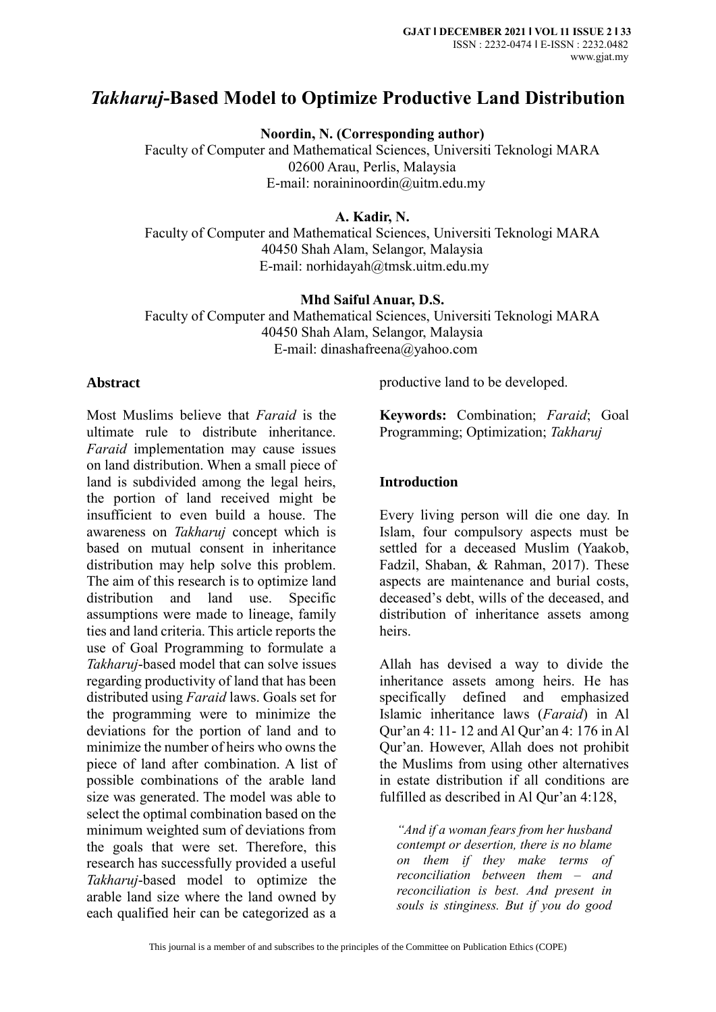# *Takharuj***-Based Model to Optimize Productive Land Distribution**

**Noordin, N. (Corresponding author)**

Faculty of Computer and Mathematical Sciences, Universiti Teknologi MARA 02600 Arau, Perlis, Malaysia E-mail: [noraininoordin@uitm.edu.my](mailto:noraininoordin@uitm.edu.my)

**A. Kadir, N.** 

Faculty of Computer and Mathematical Sciences, Universiti Teknologi MARA 40450 Shah Alam, Selangor, Malaysia E-mail: [norhidayah@tmsk.uitm.edu.my](mailto:norhidayah@tmsk.uitm.edu.my)

**Mhd Saiful Anuar, D.S.**

Faculty of Computer and Mathematical Sciences, Universiti Teknologi MARA 40450 Shah Alam, Selangor, Malaysia E-mail: [dinashafreena@yahoo.com](mailto:dinashafreena@yahoo.com)

### **Abstract**

Most Muslims believe that *Faraid* is the ultimate rule to distribute inheritance. *Faraid* implementation may cause issues on land distribution. When a small piece of land is subdivided among the legal heirs, the portion of land received might be insufficient to even build a house. The awareness on *Takharuj* concept which is based on mutual consent in inheritance distribution may help solve this problem. The aim of this research is to optimize land distribution and land use. Specific assumptions were made to lineage, family ties and land criteria. This article reports the use of Goal Programming to formulate a *Takharuj*-based model that can solve issues regarding productivity of land that has been distributed using *Faraid* laws. Goals set for the programming were to minimize the deviations for the portion of land and to minimize the number of heirs who owns the piece of land after combination. A list of possible combinations of the arable land size was generated. The model was able to select the optimal combination based on the minimum weighted sum of deviations from the goals that were set. Therefore, this research has successfully provided a useful *Takharuj*-based model to optimize the arable land size where the land owned by each qualified heir can be categorized as a

productive land to be developed.

**Keywords:** Combination; *Faraid*; Goal Programming; Optimization; *Takharuj*

### **Introduction**

Every living person will die one day. In Islam, four compulsory aspects must be settled for a deceased Muslim (Yaakob, Fadzil, Shaban, & Rahman, 2017). These aspects are maintenance and burial costs, deceased's debt, wills of the deceased, and distribution of inheritance assets among heirs.

Allah has devised a way to divide the inheritance assets among heirs. He has specifically defined and emphasized Islamic inheritance laws (*Faraid*) in Al Qur'an 4: 11- 12 and Al Qur'an 4: 176 in Al Qur'an. However, Allah does not prohibit the Muslims from using other alternatives in estate distribution if all conditions are fulfilled as described in Al Qur'an 4:128,

*"And if a woman fears from her husband contempt or desertion, there is no blame on them if they make terms of reconciliation between them – and reconciliation is best. And present in souls is stinginess. But if you do good*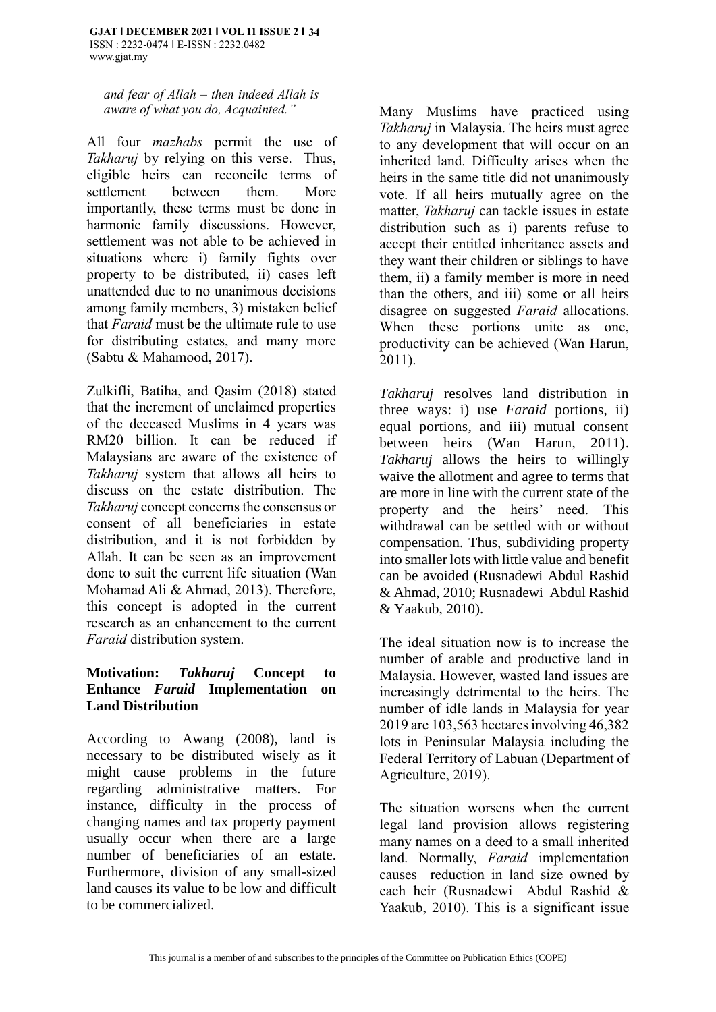*and fear of Allah – then indeed Allah is aware of what you do, Acquainted."* 

All four *mazhabs* permit the use of *Takharuj* by relying on this verse. Thus, eligible heirs can reconcile terms of settlement between them. More importantly, these terms must be done in harmonic family discussions. However, settlement was not able to be achieved in situations where i) family fights over property to be distributed, ii) cases left unattended due to no unanimous decisions among family members, 3) mistaken belief that *Faraid* must be the ultimate rule to use for distributing estates, and many more (Sabtu & Mahamood, 2017).

Zulkifli, Batiha, and Qasim (2018) stated that the increment of unclaimed properties of the deceased Muslims in 4 years was RM20 billion. It can be reduced if Malaysians are aware of the existence of *Takharuj* system that allows all heirs to discuss on the estate distribution. The *Takharuj* concept concerns the consensus or consent of all beneficiaries in estate distribution, and it is not forbidden by Allah. It can be seen as an improvement done to suit the current life situation (Wan Mohamad Ali & Ahmad, 2013). Therefore, this concept is adopted in the current research as an enhancement to the current *Faraid* distribution system.

### **Motivation:** *Takharuj* **Concept to Enhance** *Faraid* **Implementation on Land Distribution**

According to Awang (2008), land is necessary to be distributed wisely as it might cause problems in the future regarding administrative matters. For instance, difficulty in the process of changing names and tax property payment usually occur when there are a large number of beneficiaries of an estate. Furthermore, division of any small-sized land causes its value to be low and difficult to be commercialized.

Many Muslims have practiced using *Takharuj* in Malaysia. The heirs must agree to any development that will occur on an inherited land. Difficulty arises when the heirs in the same title did not unanimously vote. If all heirs mutually agree on the matter, *Takharuj* can tackle issues in estate distribution such as i) parents refuse to accept their entitled inheritance assets and they want their children or siblings to have them, ii) a family member is more in need than the others, and iii) some or all heirs disagree on suggested *Faraid* allocations. When these portions unite as one, productivity can be achieved (Wan Harun, 2011).

*Takharuj* resolves land distribution in three ways: i) use *Faraid* portions, ii) equal portions, and iii) mutual consent between heirs (Wan Harun, 2011). *Takharuj* allows the heirs to willingly waive the allotment and agree to terms that are more in line with the current state of the property and the heirs' need. This withdrawal can be settled with or without compensation. Thus, subdividing property into smaller lots with little value and benefit can be avoided (Rusnadewi Abdul Rashid & Ahmad, 2010; Rusnadewi Abdul Rashid & Yaakub, 2010).

The ideal situation now is to increase the number of arable and productive land in Malaysia. However, wasted land issues are increasingly detrimental to the heirs. The number of idle lands in Malaysia for year 2019 are 103,563 hectares involving 46,382 lots in Peninsular Malaysia including the Federal Territory of Labuan (Department of Agriculture, 2019).

The situation worsens when the current legal land provision allows registering many names on a deed to a small inherited land. Normally, *Faraid* implementation causes reduction in land size owned by each heir (Rusnadewi Abdul Rashid & Yaakub, 2010). This is a significant issue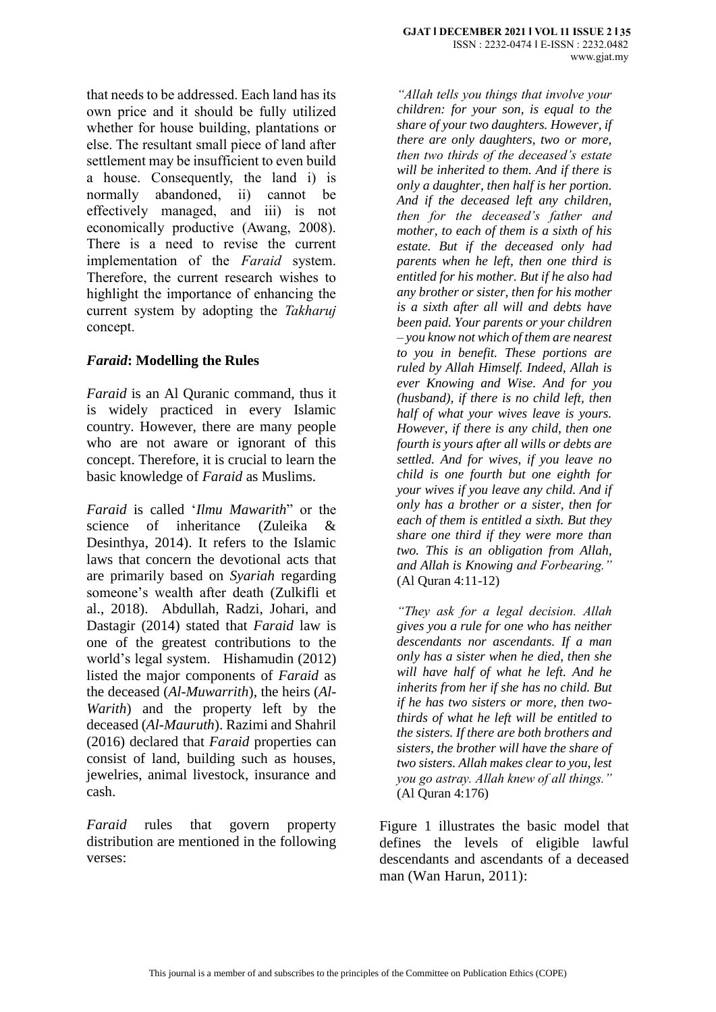that needs to be addressed. Each land has its own price and it should be fully utilized whether for house building, plantations or else. The resultant small piece of land after settlement may be insufficient to even build a house. Consequently, the land i) is normally abandoned, ii) cannot be effectively managed, and iii) is not economically productive (Awang, 2008). There is a need to revise the current implementation of the *Faraid* system. Therefore, the current research wishes to highlight the importance of enhancing the current system by adopting the *Takharuj* concept.

# *Faraid***: Modelling the Rules**

*Faraid* is an Al Quranic command, thus it is widely practiced in every Islamic country. However, there are many people who are not aware or ignorant of this concept. Therefore, it is crucial to learn the basic knowledge of *Faraid* as Muslims.

*Faraid* is called '*Ilmu Mawarith*" or the science of inheritance (Zuleika & Desinthya, 2014). It refers to the Islamic laws that concern the devotional acts that are primarily based on *Syariah* regarding someone's wealth after death (Zulkifli et al., 2018). Abdullah, Radzi, Johari, and Dastagir (2014) stated that *Faraid* law is one of the greatest contributions to the world's legal system. Hishamudin (2012) listed the major components of *Faraid* as the deceased (*Al-Muwarrith*), the heirs (*Al-Warith*) and the property left by the deceased (*Al-Mauruth*). Razimi and Shahril (2016) declared that *Faraid* properties can consist of land, building such as houses, jewelries, animal livestock, insurance and cash.

*Faraid* rules that govern property distribution are mentioned in the following verses:

*"Allah tells you things that involve your children: for your son, is equal to the share of your two daughters. However, if there are only daughters, two or more, then two thirds of the deceased's estate will be inherited to them. And if there is only a daughter, then half is her portion. And if the deceased left any children, then for the deceased's father and mother, to each of them is a sixth of his estate. But if the deceased only had parents when he left, then one third is entitled for his mother. But if he also had any brother or sister, then for his mother is a sixth after all will and debts have been paid. Your parents or your children – you know not which of them are nearest to you in benefit. These portions are ruled by Allah Himself. Indeed, Allah is ever Knowing and Wise. And for you (husband), if there is no child left, then half of what your wives leave is yours. However, if there is any child, then one fourth is yours after all wills or debts are settled. And for wives, if you leave no child is one fourth but one eighth for your wives if you leave any child. And if only has a brother or a sister, then for each of them is entitled a sixth. But they share one third if they were more than two. This is an obligation from Allah, and Allah is Knowing and Forbearing."* (Al Quran 4:11-12)

*"They ask for a legal decision. Allah gives you a rule for one who has neither descendants nor ascendants. If a man only has a sister when he died, then she will have half of what he left. And he inherits from her if she has no child. But if he has two sisters or more, then twothirds of what he left will be entitled to the sisters. If there are both brothers and sisters, the brother will have the share of two sisters. Allah makes clear to you, lest you go astray. Allah knew of all things."*  (Al Quran 4:176)

Figure 1 illustrates the basic model that defines the levels of eligible lawful descendants and ascendants of a deceased man (Wan Harun, 2011):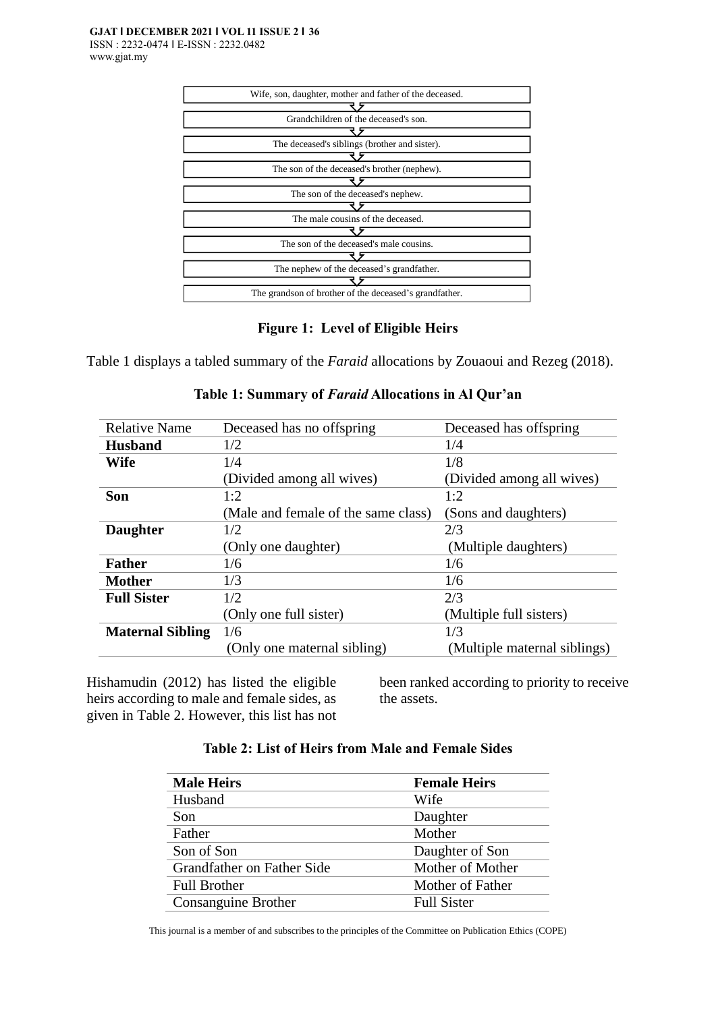

### **Figure 1: Level of Eligible Heirs**

Table 1 displays a tabled summary of the *Faraid* allocations by Zouaoui and Rezeg (2018).

| <b>Relative Name</b>    | Deceased has no offspring           | Deceased has offspring       |
|-------------------------|-------------------------------------|------------------------------|
| <b>Husband</b>          | 1/2                                 | 1/4                          |
| <b>Wife</b>             | 1/4                                 | 1/8                          |
|                         | (Divided among all wives)           | (Divided among all wives)    |
| <b>Son</b>              | 1:2                                 | 1:2                          |
|                         | (Male and female of the same class) | (Sons and daughters)         |
| <b>Daughter</b>         | 1/2                                 | 2/3                          |
|                         | (Only one daughter)                 | (Multiple daughters)         |
| <b>Father</b>           | 1/6                                 | 1/6                          |
| <b>Mother</b>           | 1/3                                 | 1/6                          |
| <b>Full Sister</b>      | 1/2                                 | 2/3                          |
|                         | (Only one full sister)              | (Multiple full sisters)      |
| <b>Maternal Sibling</b> | 1/6                                 | 1/3                          |
|                         | (Only one maternal sibling)         | (Multiple maternal siblings) |

### **Table 1: Summary of** *Faraid* **Allocations in Al Qur'an**

Hishamudin (2012) has listed the eligible heirs according to male and female sides, as given in Table 2. However, this list has not been ranked according to priority to receive the assets.

### **Table 2: List of Heirs from Male and Female Sides**

| <b>Male Heirs</b>          | <b>Female Heirs</b> |  |
|----------------------------|---------------------|--|
| Husband                    | Wife                |  |
| Son                        | Daughter            |  |
| Father                     | Mother              |  |
| Son of Son                 | Daughter of Son     |  |
| Grandfather on Father Side | Mother of Mother    |  |
| <b>Full Brother</b>        | Mother of Father    |  |
| Consanguine Brother        | <b>Full Sister</b>  |  |

This journal is a member of and subscribes to the principles of the Committee on Publication Ethics (COPE)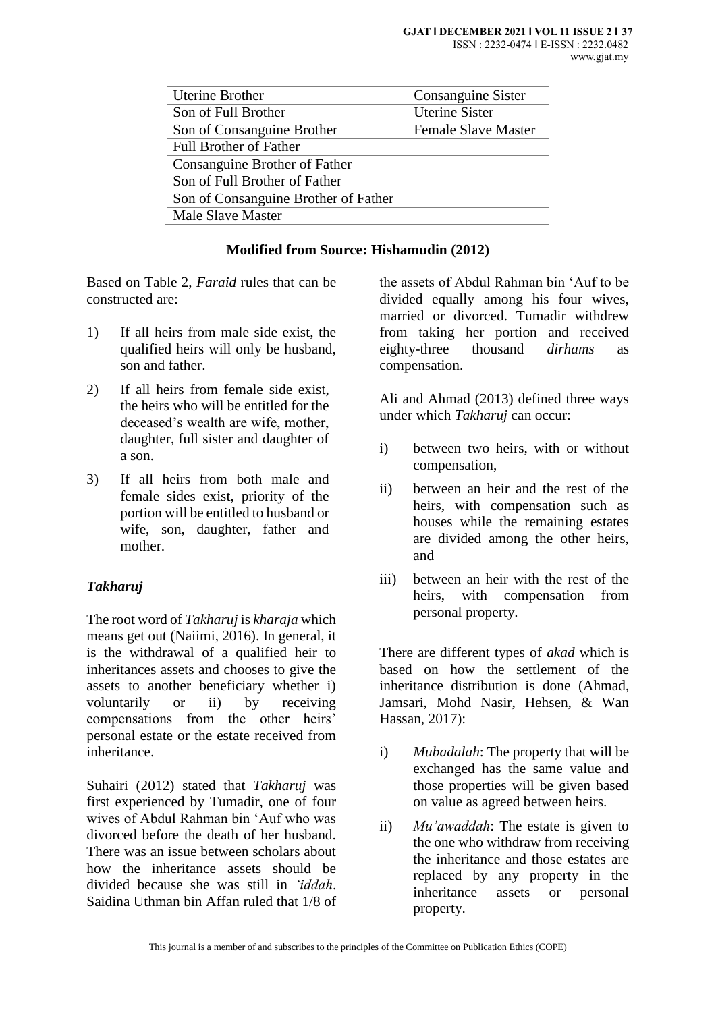| <b>Uterine Brother</b>               | Consanguine Sister         |
|--------------------------------------|----------------------------|
| Son of Full Brother                  | <b>Uterine Sister</b>      |
| Son of Consanguine Brother           | <b>Female Slave Master</b> |
| <b>Full Brother of Father</b>        |                            |
| Consanguine Brother of Father        |                            |
| Son of Full Brother of Father        |                            |
| Son of Consanguine Brother of Father |                            |
| <b>Male Slave Master</b>             |                            |
|                                      |                            |

### **Modified from Source: Hishamudin (2012)**

Based on Table 2, *Faraid* rules that can be constructed are:

- 1) If all heirs from male side exist, the qualified heirs will only be husband, son and father.
- 2) If all heirs from female side exist, the heirs who will be entitled for the deceased's wealth are wife, mother, daughter, full sister and daughter of a son.
- 3) If all heirs from both male and female sides exist, priority of the portion will be entitled to husband or wife, son, daughter, father and mother.

# *Takharuj*

The root word of *Takharuj* is *kharaja* which means get out (Naiimi, 2016). In general, it is the withdrawal of a qualified heir to inheritances assets and chooses to give the assets to another beneficiary whether i) voluntarily or ii) by receiving compensations from the other heirs' personal estate or the estate received from inheritance.

Suhairi (2012) stated that *Takharuj* was first experienced by Tumadir, one of four wives of Abdul Rahman bin 'Auf who was divorced before the death of her husband. There was an issue between scholars about how the inheritance assets should be divided because she was still in *'iddah*. Saidina Uthman bin Affan ruled that 1/8 of

the assets of Abdul Rahman bin 'Auf to be divided equally among his four wives, married or divorced. Tumadir withdrew from taking her portion and received eighty-three thousand *dirhams* as compensation.

Ali and Ahmad (2013) defined three ways under which *Takharuj* can occur:

- i) between two heirs, with or without compensation,
- ii) between an heir and the rest of the heirs, with compensation such as houses while the remaining estates are divided among the other heirs, and
- iii) between an heir with the rest of the heirs, with compensation from personal property.

There are different types of *akad* which is based on how the settlement of the inheritance distribution is done (Ahmad, Jamsari, Mohd Nasir, Hehsen, & Wan Hassan, 2017):

- i) *Mubadalah*: The property that will be exchanged has the same value and those properties will be given based on value as agreed between heirs.
- ii) *Mu'awaddah*: The estate is given to the one who withdraw from receiving the inheritance and those estates are replaced by any property in the inheritance assets or personal property.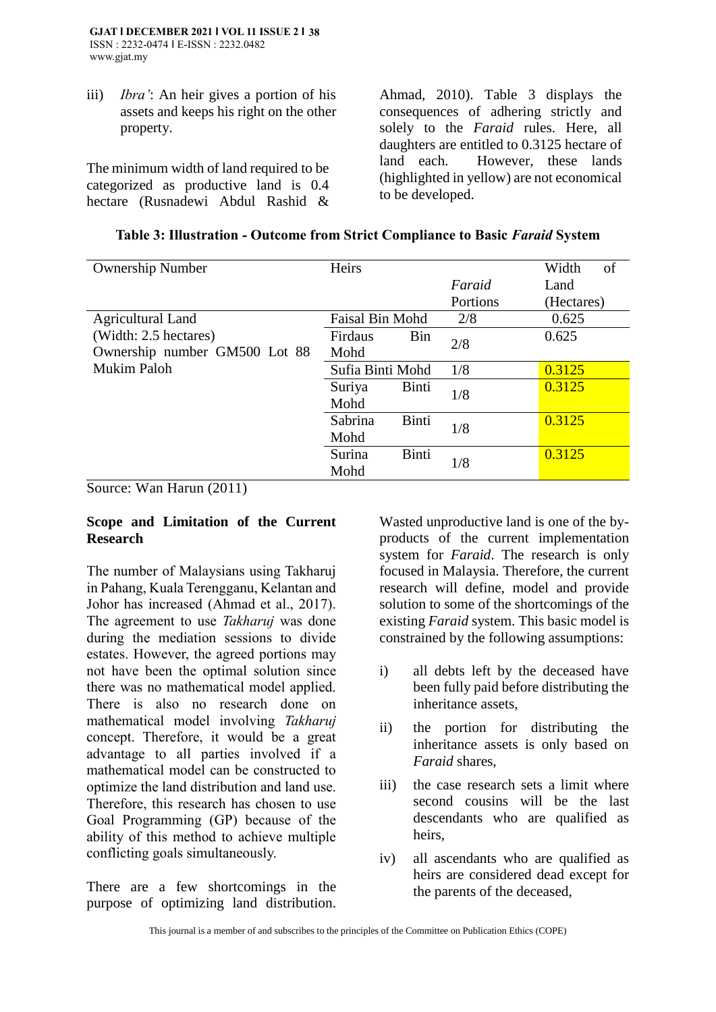iii) *Ibra'*: An heir gives a portion of his assets and keeps his right on the other property.

The minimum width of land required to be categorized as productive land is 0.4 hectare (Rusnadewi Abdul Rashid & Ahmad, 2010). Table 3 displays the consequences of adhering strictly and solely to the *Faraid* rules. Here, all daughters are entitled to 0.3125 hectare of land each. However, these lands (highlighted in yellow) are not economical to be developed.

| <b>Ownership Number</b>       | Heirs                    |          | of<br>Width |
|-------------------------------|--------------------------|----------|-------------|
|                               |                          | Faraid   | Land        |
|                               |                          | Portions | (Hectares)  |
| <b>Agricultural Land</b>      | <b>Faisal Bin Mohd</b>   | 2/8      | 0.625       |
| (Width: 2.5 hectares)         | Firdaus<br>Bin           | 2/8      | 0.625       |
| Ownership number GM500 Lot 88 | Mohd                     |          |             |
| Mukim Paloh                   | Sufia Binti Mohd         | 1/8      | 0.3125      |
|                               | Binti<br>Suriya<br>Mohd  | 1/8      | 0.3125      |
|                               | Binti<br>Sabrina<br>Mohd | 1/8      | 0.3125      |
|                               | Surina<br>Binti<br>Mohd  | 1/8      | 0.3125      |

Source: Wan Harun (2011)

### **Scope and Limitation of the Current Research**

The number of Malaysians using Takharuj in Pahang, Kuala Terengganu, Kelantan and Johor has increased (Ahmad et al., 2017). The agreement to use *Takharuj* was done during the mediation sessions to divide estates. However, the agreed portions may not have been the optimal solution since there was no mathematical model applied. There is also no research done on mathematical model involving *Takharuj* concept. Therefore, it would be a great advantage to all parties involved if a mathematical model can be constructed to optimize the land distribution and land use. Therefore, this research has chosen to use Goal Programming (GP) because of the ability of this method to achieve multiple conflicting goals simultaneously.

There are a few shortcomings in the purpose of optimizing land distribution.

Wasted unproductive land is one of the byproducts of the current implementation system for *Faraid*. The research is only focused in Malaysia. Therefore, the current research will define, model and provide solution to some of the shortcomings of the existing *Faraid* system. This basic model is constrained by the following assumptions:

- i) all debts left by the deceased have been fully paid before distributing the inheritance assets,
- ii) the portion for distributing the inheritance assets is only based on *Faraid* shares,
- iii) the case research sets a limit where second cousins will be the last descendants who are qualified as heirs,
- iv) all ascendants who are qualified as heirs are considered dead except for the parents of the deceased,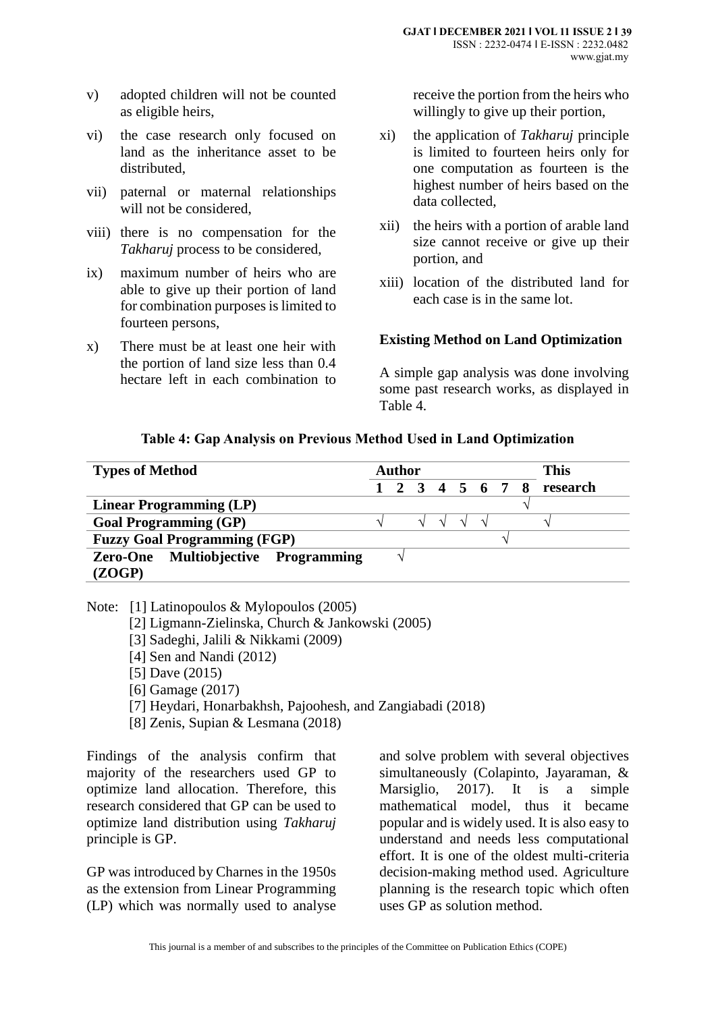- v) adopted children will not be counted as eligible heirs,
- vi) the case research only focused on land as the inheritance asset to be distributed,
- vii) paternal or maternal relationships will not be considered,
- viii) there is no compensation for the *Takharuj* process to be considered,
- ix) maximum number of heirs who are able to give up their portion of land for combination purposes is limited to fourteen persons,
- x) There must be at least one heir with the portion of land size less than 0.4 hectare left in each combination to

receive the portion from the heirs who willingly to give up their portion,

- xi) the application of *Takharuj* principle is limited to fourteen heirs only for one computation as fourteen is the highest number of heirs based on the data collected,
- xii) the heirs with a portion of arable land size cannot receive or give up their portion, and
- xiii) location of the distributed land for each case is in the same lot.

#### **Existing Method on Land Optimization**

A simple gap analysis was done involving some past research works, as displayed in Table 4.

#### **Table 4: Gap Analysis on Previous Method Used in Land Optimization**

| <b>Types of Method</b>              | This<br>Author              |
|-------------------------------------|-----------------------------|
|                                     | 1 2 3 4 5 6 7 8<br>research |
| <b>Linear Programming (LP)</b>      |                             |
| <b>Goal Programming (GP)</b>        | $\mathcal{N}$               |
| <b>Fuzzy Goal Programming (FGP)</b> |                             |
| Zero-One Multiobjective Programming |                             |
| (ZOGP)                              |                             |

Note: [1] Latinopoulos & Mylopoulos (2005)

- [2] Ligmann-Zielinska, Church & Jankowski (2005)
- [3] Sadeghi, Jalili & Nikkami (2009)
- [4] Sen and Nandi (2012)
- [5] Dave (2015)
- [6] Gamage (2017)
- [7] Heydari, Honarbakhsh, Pajoohesh, and Zangiabadi (2018)
- [8] Zenis, Supian & Lesmana (2018)

Findings of the analysis confirm that majority of the researchers used GP to optimize land allocation. Therefore, this research considered that GP can be used to optimize land distribution using *Takharuj* principle is GP.

GP was introduced by Charnes in the 1950s as the extension from Linear Programming (LP) which was normally used to analyse

and solve problem with several objectives simultaneously (Colapinto, Jayaraman, & Marsiglio, 2017). It is a simple mathematical model, thus it became popular and is widely used. It is also easy to understand and needs less computational effort. It is one of the oldest multi-criteria decision-making method used. Agriculture planning is the research topic which often uses GP as solution method.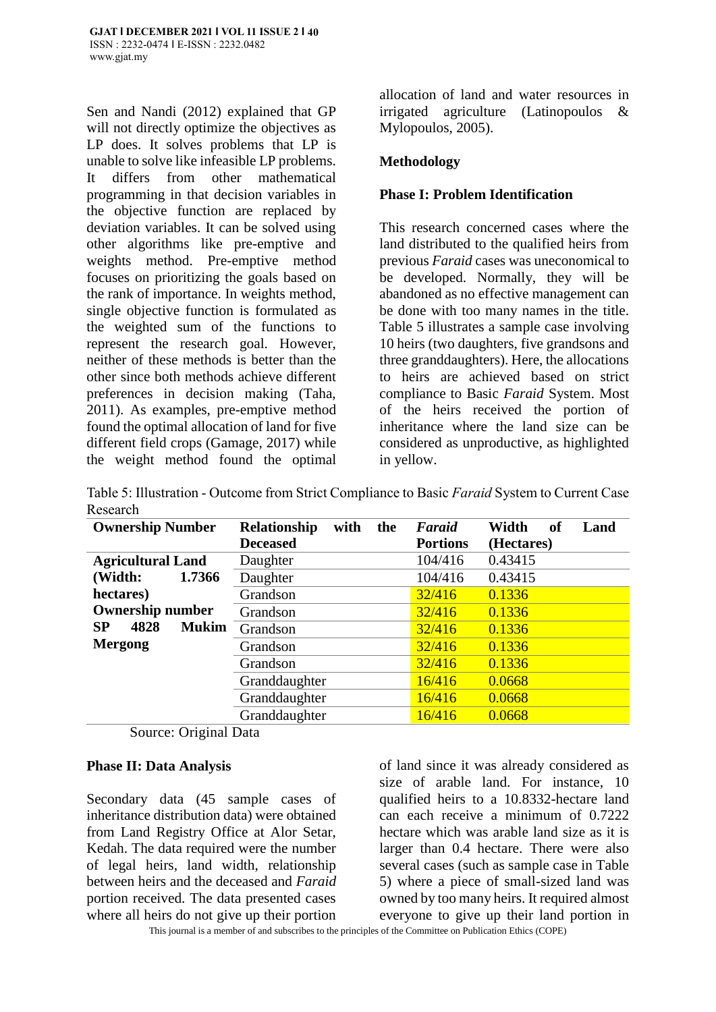Sen and Nandi (2012) explained that GP will not directly optimize the objectives as LP does. It solves problems that LP is unable to solve like infeasible LP problems. It differs from other mathematical programming in that decision variables in the objective function are replaced by deviation variables. It can be solved using other algorithms like pre-emptive and weights method. Pre-emptive method focuses on prioritizing the goals based on the rank of importance. In weights method, single objective function is formulated as the weighted sum of the functions to represent the research goal. However, neither of these methods is better than the other since both methods achieve different preferences in decision making (Taha, 2011). As examples, pre-emptive method found the optimal allocation of land for five different field crops (Gamage, 2017) while the weight method found the optimal allocation of land and water resources in irrigated agriculture (Latinopoulos & Mylopoulos, 2005).

### **Methodology**

### **Phase I: Problem Identification**

This research concerned cases where the land distributed to the qualified heirs from previous *Faraid* cases was uneconomical to be developed. Normally, they will be abandoned as no effective management can be done with too many names in the title. Table 5 illustrates a sample case involving 10 heirs (two daughters, five grandsons and three granddaughters). Here, the allocations to heirs are achieved based on strict compliance to Basic *Faraid* System. Most of the heirs received the portion of inheritance where the land size can be considered as unproductive, as highlighted in yellow.

Table 5: Illustration - Outcome from Strict Compliance to Basic *Faraid* System to Current Case Research

| <b>Ownership Number</b>    | Relationship<br>with<br>the | Faraid          | Width<br>Land<br>of |
|----------------------------|-----------------------------|-----------------|---------------------|
|                            | <b>Deceased</b>             | <b>Portions</b> | (Hectares)          |
| <b>Agricultural Land</b>   | Daughter                    | 104/416         | 0.43415             |
| (Width:<br>1.7366          | Daughter                    | 104/416         | 0.43415             |
| hectares)                  | Grandson                    | 32/416          | 0.1336              |
| <b>Ownership number</b>    | Grandson                    | 32/416          | 0.1336              |
| SP<br>4828<br><b>Mukim</b> | Grandson                    | 32/416          | 0.1336              |
| <b>Mergong</b>             | Grandson                    | 32/416          | 0.1336              |
|                            | Grandson                    | 32/416          | 0.1336              |
|                            | Granddaughter               | 16/416          | 0.0668              |
|                            | Granddaughter               | 16/416          | 0.0668              |
|                            | Granddaughter               | 16/416          | 0.0668              |

Source: Original Data

#### **Phase II: Data Analysis**

Secondary data (45 sample cases of inheritance distribution data) were obtained from Land Registry Office at Alor Setar, Kedah. The data required were the number of legal heirs, land width, relationship between heirs and the deceased and *Faraid* portion received. The data presented cases where all heirs do not give up their portion

of land since it was already considered as size of arable land. For instance, 10 qualified heirs to a 10.8332-hectare land can each receive a minimum of 0.7222 hectare which was arable land size as it is larger than 0.4 hectare. There were also several cases (such as sample case in Table 5) where a piece of small-sized land was owned by too many heirs. It required almost everyone to give up their land portion in

This journal is a member of and subscribes to the principles of the Committee on Publication Ethics (COPE)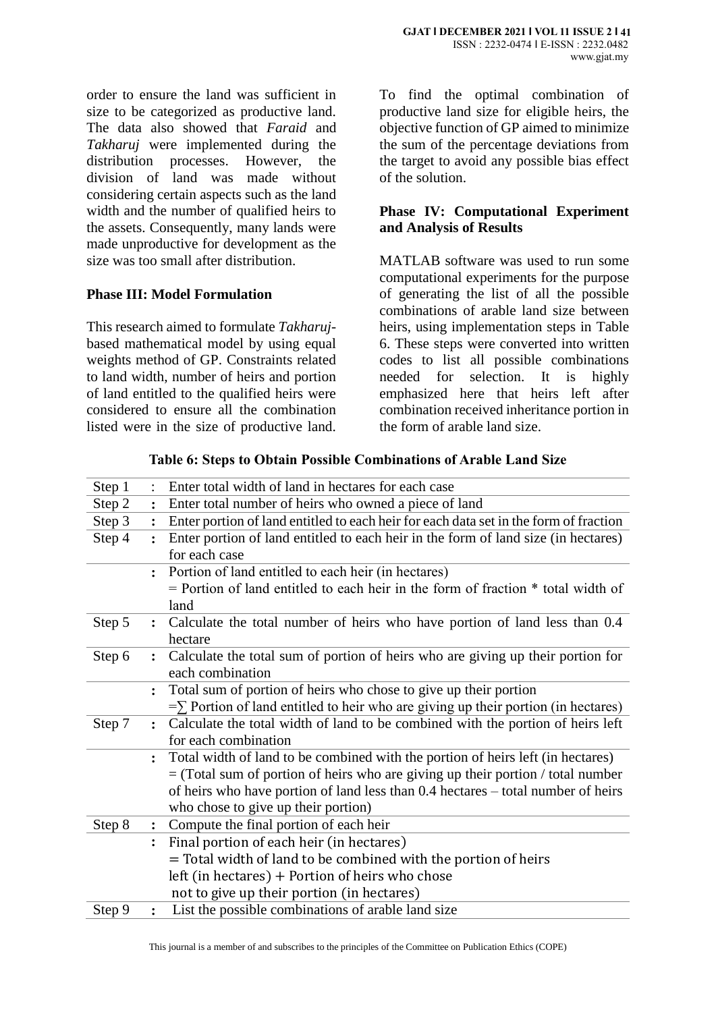order to ensure the land was sufficient in size to be categorized as productive land. The data also showed that *Faraid* and *Takharuj* were implemented during the distribution processes. However, the division of land was made without considering certain aspects such as the land width and the number of qualified heirs to the assets. Consequently, many lands were made unproductive for development as the size was too small after distribution.

# **Phase III: Model Formulation**

This research aimed to formulate *Takharuj*based mathematical model by using equal weights method of GP. Constraints related to land width, number of heirs and portion of land entitled to the qualified heirs were considered to ensure all the combination listed were in the size of productive land.

To find the optimal combination of productive land size for eligible heirs, the objective function of GP aimed to minimize the sum of the percentage deviations from the target to avoid any possible bias effect of the solution.

### **Phase IV: Computational Experiment and Analysis of Results**

MATLAB software was used to run some computational experiments for the purpose of generating the list of all the possible combinations of arable land size between heirs, using implementation steps in Table 6. These steps were converted into written codes to list all possible combinations needed for selection. It is highly emphasized here that heirs left after combination received inheritance portion in the form of arable land size.

| Step 1 |                | Enter total width of land in hectares for each case                                    |
|--------|----------------|----------------------------------------------------------------------------------------|
| Step 2 |                | Enter total number of heirs who owned a piece of land                                  |
| Step 3 |                | Enter portion of land entitled to each heir for each data set in the form of fraction  |
| Step 4 | $\ddot{\cdot}$ | Enter portion of land entitled to each heir in the form of land size (in hectares)     |
|        |                | for each case                                                                          |
|        |                | Portion of land entitled to each heir (in hectares)                                    |
|        |                | = Portion of land entitled to each heir in the form of fraction * total width of       |
|        |                | land                                                                                   |
| Step 5 | $\ddot{\cdot}$ | Calculate the total number of heirs who have portion of land less than 0.4             |
|        |                | hectare                                                                                |
| Step 6 | $\ddot{\cdot}$ | Calculate the total sum of portion of heirs who are giving up their portion for        |
|        |                | each combination                                                                       |
|        |                | Total sum of portion of heirs who chose to give up their portion                       |
|        |                | $=\sum$ Portion of land entitled to heir who are giving up their portion (in hectares) |
| Step 7 | $\ddot{\cdot}$ | Calculate the total width of land to be combined with the portion of heirs left        |
|        |                | for each combination                                                                   |
|        | $\ddot{\cdot}$ | Total width of land to be combined with the portion of heirs left (in hectares)        |
|        |                | $=$ (Total sum of portion of heirs who are giving up their portion / total number      |
|        |                | of heirs who have portion of land less than 0.4 hectares – total number of heirs       |
|        |                | who chose to give up their portion)                                                    |
| Step 8 | $\ddot{\cdot}$ | Compute the final portion of each heir                                                 |
|        |                | Final portion of each heir (in hectares)                                               |
|        |                | = Total width of land to be combined with the portion of heirs                         |
|        |                | left (in hectares) $+$ Portion of heirs who chose                                      |
|        |                | not to give up their portion (in hectares)                                             |
| Step 9 | $\ddot{\cdot}$ | List the possible combinations of arable land size                                     |

**Table 6: Steps to Obtain Possible Combinations of Arable Land Size**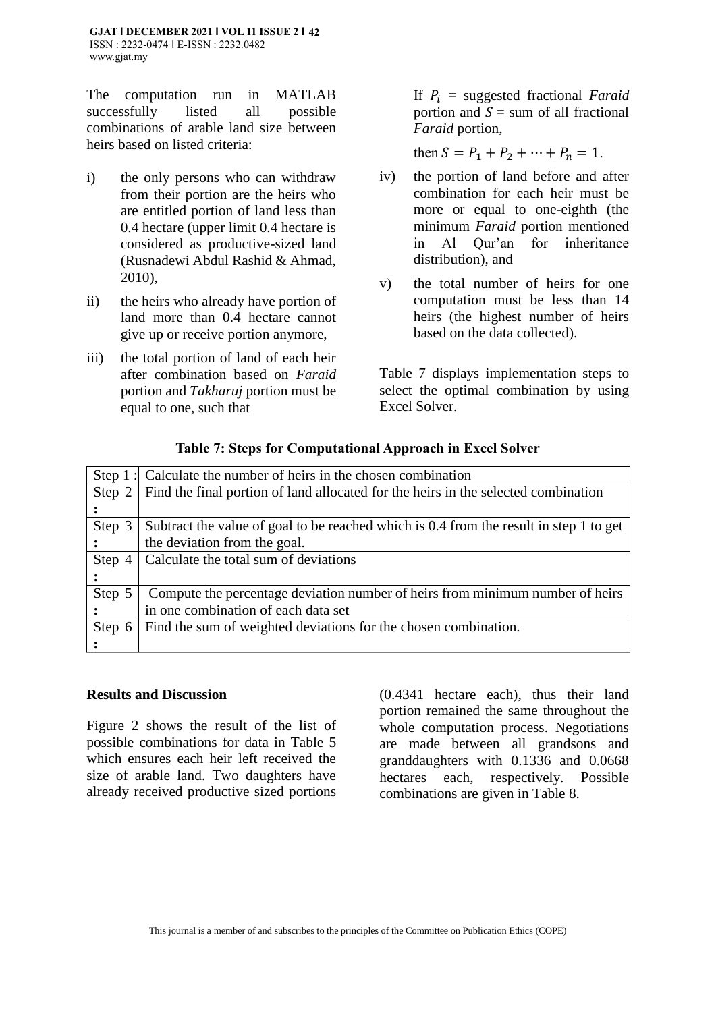The computation run in MATLAB successfully listed all possible combinations of arable land size between heirs based on listed criteria:

- i) the only persons who can withdraw from their portion are the heirs who are entitled portion of land less than 0.4 hectare (upper limit 0.4 hectare is considered as productive-sized land (Rusnadewi Abdul Rashid & Ahmad, 2010),
- ii) the heirs who already have portion of land more than 0.4 hectare cannot give up or receive portion anymore,
- iii) the total portion of land of each heir after combination based on *Faraid* portion and *Takharuj* portion must be equal to one, such that

If  $P_i$  = suggested fractional *Faraid* portion and  $S =$  sum of all fractional *Faraid* portion,

then  $S = P_1 + P_2 + \cdots + P_n = 1$ .

- iv) the portion of land before and after combination for each heir must be more or equal to one-eighth (the minimum *Faraid* portion mentioned in Al Qur'an for inheritance distribution), and
- v) the total number of heirs for one computation must be less than 14 heirs (the highest number of heirs based on the data collected).

Table 7 displays implementation steps to select the optimal combination by using Excel Solver.

|        | Step 1: Calculate the number of heirs in the chosen combination                        |
|--------|----------------------------------------------------------------------------------------|
| Step 2 | Find the final portion of land allocated for the heirs in the selected combination     |
|        |                                                                                        |
| Step 3 | Subtract the value of goal to be reached which is 0.4 from the result in step 1 to get |
|        | the deviation from the goal.                                                           |
| Step 4 | Calculate the total sum of deviations                                                  |
|        |                                                                                        |
| Step 5 | Compute the percentage deviation number of heirs from minimum number of heirs          |
|        | in one combination of each data set                                                    |
| Step 6 | Find the sum of weighted deviations for the chosen combination.                        |
|        |                                                                                        |

### **Table 7: Steps for Computational Approach in Excel Solver**

#### **Results and Discussion**

Figure 2 shows the result of the list of possible combinations for data in Table 5 which ensures each heir left received the size of arable land. Two daughters have already received productive sized portions

(0.4341 hectare each), thus their land portion remained the same throughout the whole computation process. Negotiations are made between all grandsons and granddaughters with 0.1336 and 0.0668 hectares each, respectively. Possible combinations are given in Table 8.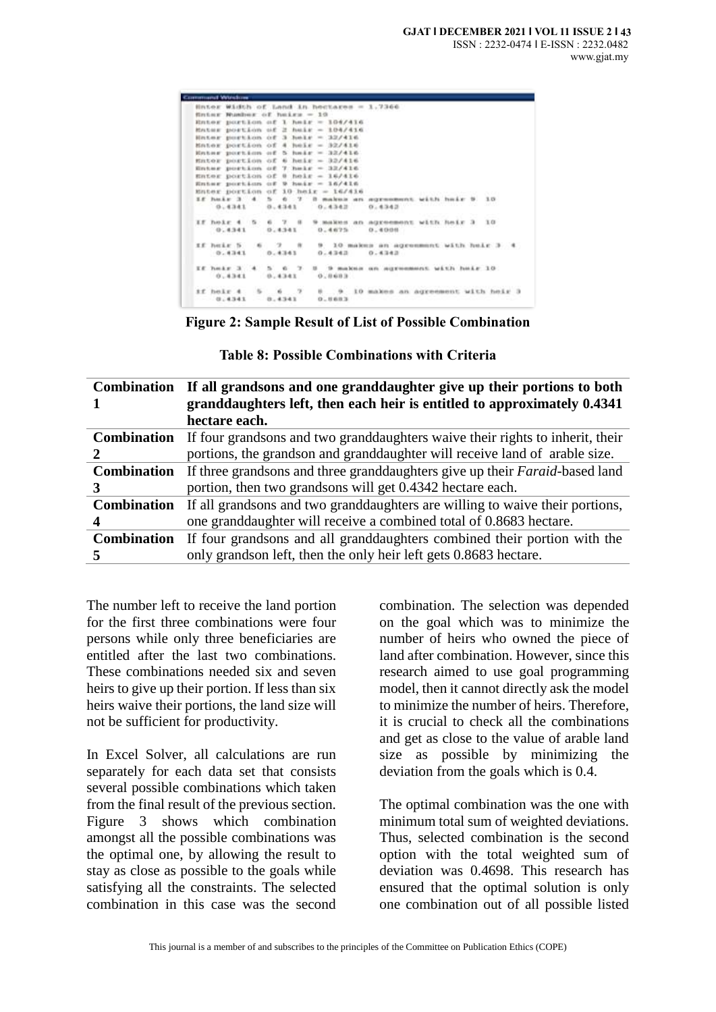| <b>Community Window</b> |                             |                                          |                                                                                      |
|-------------------------|-----------------------------|------------------------------------------|--------------------------------------------------------------------------------------|
|                         |                             | Shter Width of Land in hectares = 1.7366 |                                                                                      |
|                         | fining Washer of heige = 10 |                                          |                                                                                      |
|                         |                             | Enter portion of 1 helr = 104/416        |                                                                                      |
|                         |                             | Enter portion of 2 heir - 104/416        |                                                                                      |
|                         |                             | Hnter portion of 3 helr = 32/416         |                                                                                      |
|                         |                             | Enter portion of 4 hele = 32/416         |                                                                                      |
|                         |                             | Enter portion of 5 hair = 32/416.        |                                                                                      |
|                         |                             | Enter portion of 6 heir = 32/416         |                                                                                      |
|                         |                             | Enter portion of 7 helr = 32/416         |                                                                                      |
|                         |                             | Enter portion of 0 heir = 16/416         |                                                                                      |
|                         |                             | Enter portion of 9 heir = 16/416         |                                                                                      |
|                         |                             |                                          | Enter portion of 10 heir = $16/416$                                                  |
|                         |                             |                                          | If hair 3 4 5 6 7 8 makes an agreement with hair 9 10                                |
|                         |                             |                                          | 2008/09/10 22: 12:1<br>$0.4341$ $0.4341$ $0.4342$ $0.4342$                           |
|                         |                             |                                          |                                                                                      |
|                         |                             |                                          | If heir 4 5 6 7 8 9 makes an agreement with heir 3 10                                |
|                         |                             | $0.4341$ $0.4341$ $0.4675$ $0.4000$      |                                                                                      |
|                         |                             |                                          |                                                                                      |
|                         |                             |                                          | ff heir 5 6 7 8 9 10 makes an agreement with heir 3 4<br>0.4341 0.4343 0.4343 0.4342 |
|                         |                             |                                          |                                                                                      |
|                         |                             |                                          | EE heir 3 4 5 6 7 8 9 makes on agreement with heir 10                                |
|                         |                             |                                          |                                                                                      |
|                         | 0.4341 0.4341 0.0603        |                                          |                                                                                      |
|                         |                             |                                          | If hele $4 = 5 = 6 = 7 = 9 = 10$ makes an agreement with hele 3                      |
|                         |                             |                                          |                                                                                      |
|                         |                             |                                          | 0.4341 0.4341 0.8883                                                                 |

**Figure 2: Sample Result of List of Possible Combination**

| <b>Combination</b> | If all grandsons and one granddaughter give up their portions to both               |  |  |
|--------------------|-------------------------------------------------------------------------------------|--|--|
|                    | granddaughters left, then each heir is entitled to approximately 0.4341             |  |  |
|                    | hectare each.                                                                       |  |  |
| <b>Combination</b> | If four grandsons and two granddaughters waive their rights to inherit, their       |  |  |
|                    | portions, the grandson and granddaughter will receive land of arable size.          |  |  |
| <b>Combination</b> | If three grandsons and three granddaughters give up their <i>Faraid</i> -based land |  |  |
| 3                  | portion, then two grandsons will get 0.4342 hectare each.                           |  |  |
| <b>Combination</b> | If all grandsons and two granddaughters are willing to waive their portions,        |  |  |
|                    | one granddaughter will receive a combined total of 0.8683 hectare.                  |  |  |
| <b>Combination</b> | If four grandsons and all granddaughters combined their portion with the            |  |  |
| 5                  | only grands on left, then the only heir left gets 0.8683 hectare.                   |  |  |

The number left to receive the land portion for the first three combinations were four persons while only three beneficiaries are entitled after the last two combinations. These combinations needed six and seven heirs to give up their portion. If less than six heirs waive their portions, the land size will not be sufficient for productivity.

In Excel Solver, all calculations are run separately for each data set that consists several possible combinations which taken from the final result of the previous section. Figure 3 shows which combination amongst all the possible combinations was the optimal one, by allowing the result to stay as close as possible to the goals while satisfying all the constraints. The selected combination in this case was the second

combination. The selection was depended on the goal which was to minimize the number of heirs who owned the piece of land after combination. However, since this research aimed to use goal programming model, then it cannot directly ask the model to minimize the number of heirs. Therefore, it is crucial to check all the combinations and get as close to the value of arable land size as possible by minimizing the deviation from the goals which is 0.4.

The optimal combination was the one with minimum total sum of weighted deviations. Thus, selected combination is the second option with the total weighted sum of deviation was 0.4698. This research has ensured that the optimal solution is only one combination out of all possible listed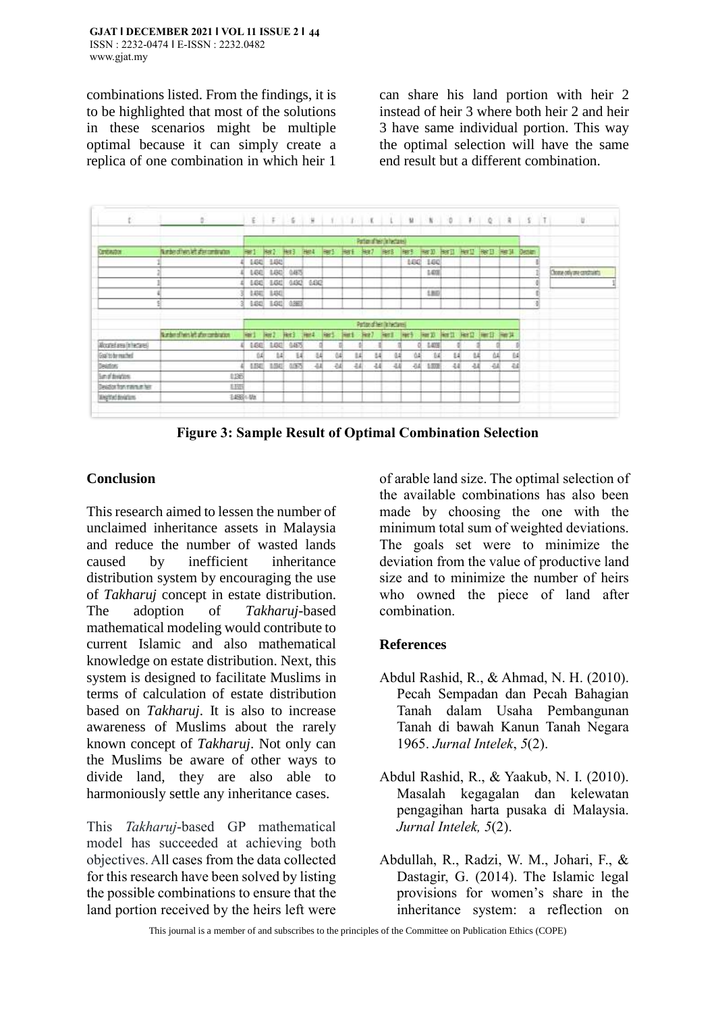combinations listed. From the findings, it is to be highlighted that most of the solutions in these scenarios might be multiple optimal because it can simply create a replica of one combination in which heir 1

can share his land portion with heir 2 instead of heir 3 where both heir 2 and heir 3 have same individual portion. This way the optimal selection will have the same end result but a different combination.

|                              | $\mathfrak{d} \qquad \qquad \mathfrak{l} \ \mathfrak{l} \ \ \mathfrak{l} \ \ \mathfrak{l} \ \ \mathfrak{l} \ \ \mathfrak{l} \ \ \mathfrak{l} \ \ \mathfrak{l} \ \ \mathfrak{l} \ \ \mathfrak{l} \ \ \mathfrak{l} \ \ \mathfrak{l} \ \ \mathfrak{l} \ \ \mathfrak{l} \ \ \mathfrak{l} \ \ \mathfrak{l} \ \ \mathfrak{l} \ \ \mathfrak{l} \ \ \mathfrak{l} \ \ \mathfrak{l} \ \ \mathfrak{l} \ \ \mathfrak{l} \ \ \mathfrak{l} \ \ \mathfrak{l} \ \ \mathfrak{l} \ \ \mathfrak{l} \ \$ |                             |       |                   |             |           |             |           |      |                  |                                          |    |    |    |    |  |                            |
|------------------------------|--------------------------------------------------------------------------------------------------------------------------------------------------------------------------------------------------------------------------------------------------------------------------------------------------------------------------------------------------------------------------------------------------------------------------------------------------------------------------------------|-----------------------------|-------|-------------------|-------------|-----------|-------------|-----------|------|------------------|------------------------------------------|----|----|----|----|--|----------------------------|
|                              | Parties of tetrilohedgres)                                                                                                                                                                                                                                                                                                                                                                                                                                                           |                             |       |                   |             |           |             |           |      |                  |                                          |    |    |    |    |  |                            |
| Continetor                   | Number of hers left after combination                                                                                                                                                                                                                                                                                                                                                                                                                                                | <b>Bar1</b>                 |       | Her 2 Her 3 Her 4 |             | He's He's |             | Her? Hers |      |                  | Here Her D Her D Her D Her B Her M Denen |    |    |    |    |  |                            |
|                              |                                                                                                                                                                                                                                                                                                                                                                                                                                                                                      | 1430                        | 1,003 |                   |             |           |             |           |      | MG.              | 140                                      |    |    |    |    |  |                            |
|                              |                                                                                                                                                                                                                                                                                                                                                                                                                                                                                      | 1.641                       | 1,80  | 04/5              |             |           |             |           |      |                  | 1403                                     |    |    |    |    |  | Chome only one constraints |
|                              |                                                                                                                                                                                                                                                                                                                                                                                                                                                                                      | 6.643                       | 1,00  | 0.4342            | 6,003       |           |             |           |      |                  |                                          |    |    |    |    |  |                            |
|                              |                                                                                                                                                                                                                                                                                                                                                                                                                                                                                      | 0.4341                      | 180   |                   |             |           |             |           |      |                  | 180                                      |    |    |    |    |  |                            |
|                              |                                                                                                                                                                                                                                                                                                                                                                                                                                                                                      | 0.041<br>31                 | 1.01  | 0.863             |             |           |             |           |      |                  |                                          |    |    |    |    |  |                            |
|                              |                                                                                                                                                                                                                                                                                                                                                                                                                                                                                      | Partiacutiker (In hectares) |       |                   |             |           |             |           |      |                  |                                          |    |    |    |    |  |                            |
|                              | Number of held left after combination.                                                                                                                                                                                                                                                                                                                                                                                                                                               | Hard                        | But 2 | Het3.             | <b>Herd</b> | lart.     | <b>Hart</b> | Hot 7     | Hert | Her <sub>3</sub> | Herzi Herzi Herzi Herzi Herzi            |    |    |    |    |  |                            |
| Alcorated area (in hectares) |                                                                                                                                                                                                                                                                                                                                                                                                                                                                                      | 160                         | 1,00  | 04675             |             |           |             |           |      |                  | 1401                                     |    |    |    |    |  |                            |
| Gol'to brmathed              |                                                                                                                                                                                                                                                                                                                                                                                                                                                                                      | 04                          | 14    | 14                | 叫           | 04        | ы           | 44        | 14   | ů4               | 14                                       | и  | u  |    | 04 |  |                            |
| Detailors                    |                                                                                                                                                                                                                                                                                                                                                                                                                                                                                      | <b>LEAT</b>                 | 3,042 | <b>GUES</b>       | -54         | $-0.4$    | 44          | 44        | -5.6 | -54              | 1.000                                    | 44 | 44 | 44 | 44 |  |                            |
| <b>Sum of devictions</b>     | 1135                                                                                                                                                                                                                                                                                                                                                                                                                                                                                 |                             |       |                   |             |           |             |           |      |                  |                                          |    |    |    |    |  |                            |
|                              | 8.335                                                                                                                                                                                                                                                                                                                                                                                                                                                                                |                             |       |                   |             |           |             |           |      |                  |                                          |    |    |    |    |  |                            |
| Deiator for manueller        |                                                                                                                                                                                                                                                                                                                                                                                                                                                                                      |                             |       |                   |             |           |             |           |      |                  |                                          |    |    |    |    |  |                            |

**Figure 3: Sample Result of Optimal Combination Selection**

# **Conclusion**

This research aimed to lessen the number of unclaimed inheritance assets in Malaysia and reduce the number of wasted lands caused by inefficient inheritance distribution system by encouraging the use of *Takharuj* concept in estate distribution. The adoption of *Takharuj*-based mathematical modeling would contribute to current Islamic and also mathematical knowledge on estate distribution. Next, this system is designed to facilitate Muslims in terms of calculation of estate distribution based on *Takharuj*. It is also to increase awareness of Muslims about the rarely known concept of *Takharuj*. Not only can the Muslims be aware of other ways to divide land, they are also able to harmoniously settle any inheritance cases.

This *Takharuj*-based GP mathematical model has succeeded at achieving both objectives. All cases from the data collected for this research have been solved by listing the possible combinations to ensure that the land portion received by the heirs left were

of arable land size. The optimal selection of the available combinations has also been made by choosing the one with the minimum total sum of weighted deviations. The goals set were to minimize the deviation from the value of productive land size and to minimize the number of heirs who owned the piece of land after combination.

### **References**

- Abdul Rashid, R., & Ahmad, N. H. (2010). Pecah Sempadan dan Pecah Bahagian Tanah dalam Usaha Pembangunan Tanah di bawah Kanun Tanah Negara 1965. *Jurnal Intelek*, *5*(2).
- Abdul Rashid, R., & Yaakub, N. I. (2010). Masalah kegagalan dan kelewatan pengagihan harta pusaka di Malaysia. *Jurnal Intelek, 5*(2).
- Abdullah, R., Radzi, W. M., Johari, F., & Dastagir, G. (2014). The Islamic legal provisions for women's share in the inheritance system: a reflection on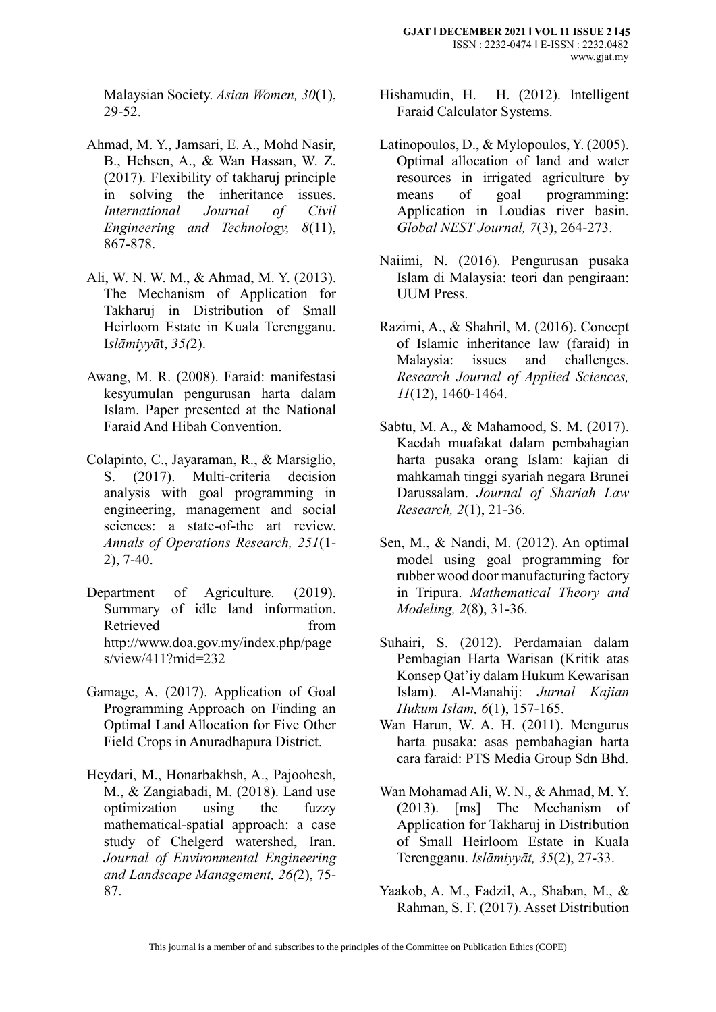Malaysian Society. *Asian Women, 30*(1), 29-52.

- Ahmad, M. Y., Jamsari, E. A., Mohd Nasir, B., Hehsen, A., & Wan Hassan, W. Z. (2017). Flexibility of takharuj principle in solving the inheritance issues. *International Journal of Civil Engineering and Technology, 8*(11), 867-878.
- Ali, W. N. W. M., & Ahmad, M. Y. (2013). The Mechanism of Application for Takharuj in Distribution of Small Heirloom Estate in Kuala Terengganu. I*slāmiyyā*t, *35(*2).
- Awang, M. R. (2008). Faraid: manifestasi kesyumulan pengurusan harta dalam Islam. Paper presented at the National Faraid And Hibah Convention.
- Colapinto, C., Jayaraman, R., & Marsiglio, S. (2017). Multi-criteria decision analysis with goal programming in engineering, management and social sciences: a state-of-the art review. *Annals of Operations Research, 251*(1- 2), 7-40.
- Department of Agriculture. (2019). Summary of idle land information. Retrieved from http://www.doa.gov.my/index.php/page s/view/411?mid=232
- Gamage, A. (2017). Application of Goal Programming Approach on Finding an Optimal Land Allocation for Five Other Field Crops in Anuradhapura District.
- Heydari, M., Honarbakhsh, A., Pajoohesh, M., & Zangiabadi, M. (2018). Land use optimization using the fuzzy mathematical-spatial approach: a case study of Chelgerd watershed, Iran. *Journal of Environmental Engineering and Landscape Management, 26(*2), 75- 87.
- Hishamudin, H. H. (2012). Intelligent Faraid Calculator Systems.
- Latinopoulos, D., & Mylopoulos, Y. (2005). Optimal allocation of land and water resources in irrigated agriculture by means of goal programming: Application in Loudias river basin. *Global NEST Journal, 7*(3), 264-273.
- Naiimi, N. (2016). Pengurusan pusaka Islam di Malaysia: teori dan pengiraan: UUM Press.
- Razimi, A., & Shahril, M. (2016). Concept of Islamic inheritance law (faraid) in Malaysia: issues and challenges. *Research Journal of Applied Sciences, 11*(12), 1460-1464.
- Sabtu, M. A., & Mahamood, S. M. (2017). Kaedah muafakat dalam pembahagian harta pusaka orang Islam: kajian di mahkamah tinggi syariah negara Brunei Darussalam. *Journal of Shariah Law Research, 2*(1), 21-36.
- Sen, M., & Nandi, M. (2012). An optimal model using goal programming for rubber wood door manufacturing factory in Tripura. *Mathematical Theory and Modeling, 2*(8), 31-36.
- Suhairi, S. (2012). Perdamaian dalam Pembagian Harta Warisan (Kritik atas Konsep Qat'iy dalam Hukum Kewarisan Islam). Al-Manahij: *Jurnal Kajian Hukum Islam, 6*(1), 157-165.
- Wan Harun, W. A. H. (2011). Mengurus harta pusaka: asas pembahagian harta cara faraid: PTS Media Group Sdn Bhd.
- Wan Mohamad Ali, W. N., & Ahmad, M. Y. (2013). [ms] The Mechanism of Application for Takharuj in Distribution of Small Heirloom Estate in Kuala Terengganu. *Islāmiyyāt, 35*(2), 27-33.
- Yaakob, A. M., Fadzil, A., Shaban, M., & Rahman, S. F. (2017). Asset Distribution